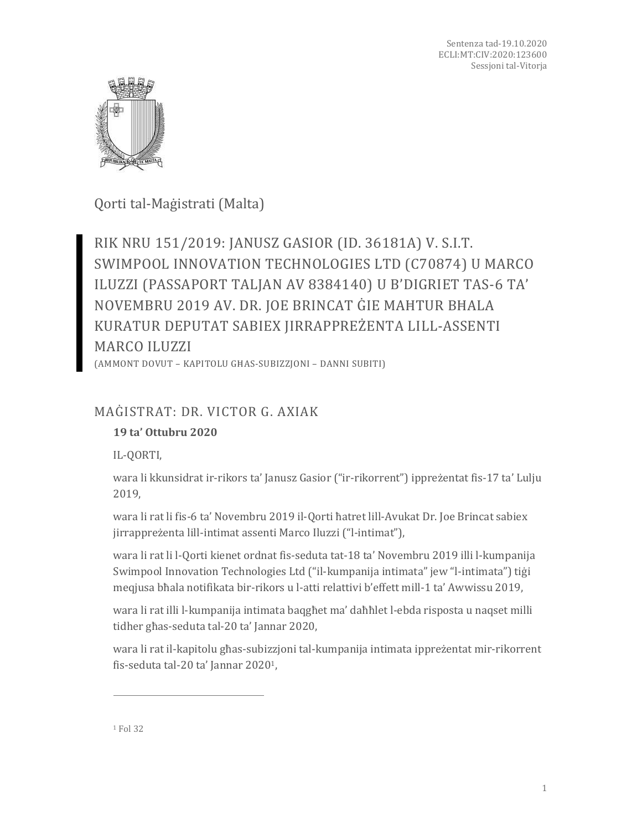

Qorti tal-Maġistrati (Malta)

RIK NRU 151/2019: JANUSZ GASIOR (ID. 36181A) V. S.I.T. SWIMPOOL INNOVATION TECHNOLOGIES LTD (C70874) U MARCO ILUZZI (PASSAPORT TALJAN AV 8384140) U B'DIGRIET TAS-6 TA' NOVEMBRU 2019 AV. DR. JOE BRINCAT ĠIE MAĦTUR BĦALA KURATUR DEPUTAT SABIEX JIRRAPPREŻENTA LILL-ASSENTI MARCO ILUZZI

(AMMONT DOVUT – KAPITOLU GĦAS-SUBIZZJONI – DANNI SUBITI)

# MAĠISTRAT: DR. VICTOR G. AXIAK

## **19 ta' Ottubru 2020**

IL-QORTI,

wara li kkunsidrat ir-rikors ta' Janusz Gasior ("ir-rikorrent") ippreżentat fis-17 ta' Lulju 2019,

wara li rat li fis-6 ta' Novembru 2019 il-Qorti ħatret lill-Avukat Dr. Joe Brincat sabiex jirrappreżenta lill-intimat assenti Marco Iluzzi ("l-intimat"),

wara li rat li l-Qorti kienet ordnat fis-seduta tat-18 ta' Novembru 2019 illi l-kumpanija Swimpool Innovation Technologies Ltd ("il-kumpanija intimata" jew "l-intimata") tiġi meqjusa bħala notifikata bir-rikors u l-atti relattivi b'effett mill-1 ta' Awwissu 2019,

wara li rat illi l-kumpanija intimata baqgħet ma' daħħlet l-ebda risposta u naqset milli tidher għas-seduta tal-20 ta' Jannar 2020,

wara li rat il-kapitolu għas-subizzjoni tal-kumpanija intimata ippreżentat mir-rikorrent fis-seduta tal-20 ta' Jannar 20201,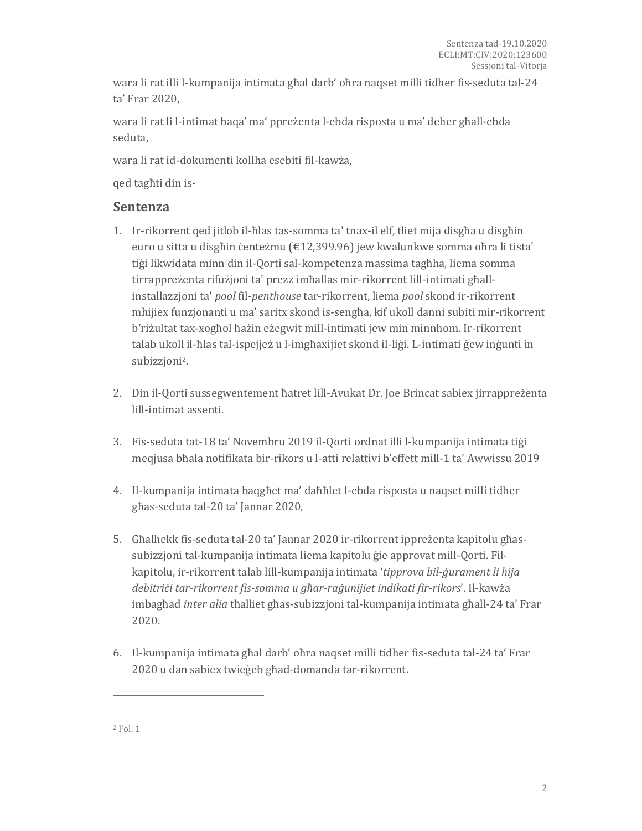wara li rat illi l-kumpanija intimata għal darb' oħra naqset milli tidher fis-seduta tal-24 ta' Frar 2020,

wara li rat li l-intimat baqa' ma' ppreżenta l-ebda risposta u ma' deher għall-ebda seduta,

wara li rat id-dokumenti kollha esebiti fil-kawża,

qed tagħti din is-

### **Sentenza**

- 1. Ir-rikorrent qed jitlob il-ħlas tas-somma ta' tnax-il elf, tliet mija disgħa u disgħin euro u sitta u disgħin ċenteżmu (€12,399.96) jew kwalunkwe somma oħra li tista' tiġi likwidata minn din il-Qorti sal-kompetenza massima tagħha, liema somma tirrappreżenta rifużjoni ta' prezz imħallas mir-rikorrent lill-intimati għallinstallazzjoni ta' *pool* fil-*penthouse* tar-rikorrent, liema *pool* skond ir-rikorrent mhijiex funzjonanti u ma' saritx skond is-sengħa, kif ukoll danni subiti mir-rikorrent b'riżultat tax-xogħol ħażin eżegwit mill-intimati jew min minnhom. Ir-rikorrent talab ukoll il-ħlas tal-ispejjeż u l-imgħaxijiet skond il-liġi. L-intimati ġew inġunti in subizzjoni2.
- 2. Din il-Qorti sussegwentement ħatret lill-Avukat Dr. Joe Brincat sabiex jirrappreżenta lill-intimat assenti.
- 3. Fis-seduta tat-18 ta' Novembru 2019 il-Qorti ordnat illi l-kumpanija intimata tiġi meqjusa bħala notifikata bir-rikors u l-atti relattivi b'effett mill-1 ta' Awwissu 2019
- 4. Il-kumpanija intimata baqgħet ma' daħħlet l-ebda risposta u naqset milli tidher għas-seduta tal-20 ta' Jannar 2020,
- 5. Għalhekk fis-seduta tal-20 ta' Jannar 2020 ir-rikorrent ippreżenta kapitolu għassubizzjoni tal-kumpanija intimata liema kapitolu ġie approvat mill-Qorti. Filkapitolu, ir-rikorrent talab lill-kumpanija intimata '*tipprova bil-ġurament li hija debitriċi tar-rikorrent fis-somma u għar-raġunijiet indikati fir-rikors*'. Il-kawża imbagħad *inter alia* tħalliet għas-subizzjoni tal-kumpanija intimata għall-24 ta' Frar 2020.
- 6. Il-kumpanija intimata għal darb' oħra naqset milli tidher fis-seduta tal-24 ta' Frar 2020 u dan sabiex twieġeb għad-domanda tar-rikorrent.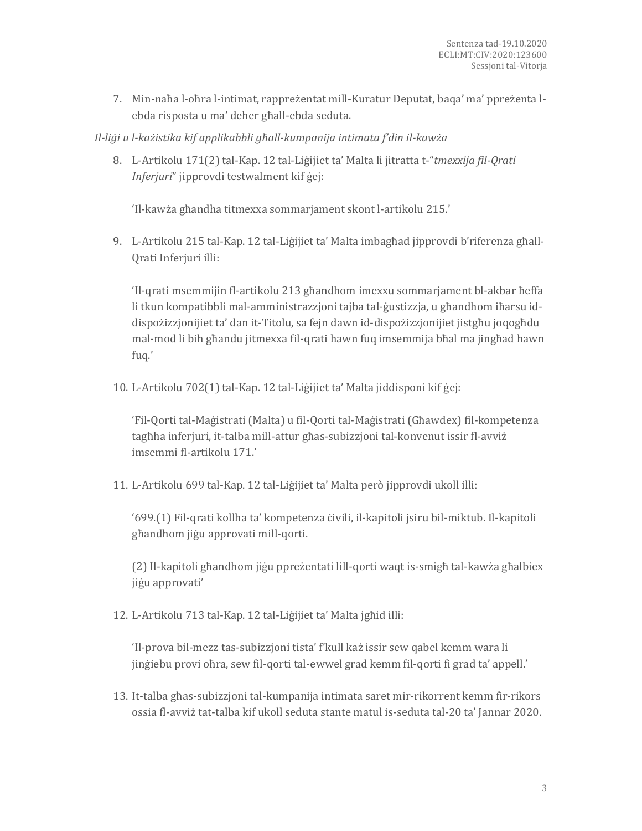7. Min-naħa l-oħra l-intimat, rappreżentat mill-Kuratur Deputat, baqa' ma' ppreżenta lebda risposta u ma' deher għall-ebda seduta.

*Il-liġi u l-każistika kif applikabbli għall-kumpanija intimata f'din il-kawża*

8. L-Artikolu 171(2) tal-Kap. 12 tal-Liġijiet ta' Malta li jitratta t-"*tmexxija fil-Qrati Inferjuri*" jipprovdi testwalment kif ġej:

'Il-kawża għandha titmexxa sommarjament skont l-artikolu 215.'

9. L-Artikolu 215 tal-Kap. 12 tal-Liġijiet ta' Malta imbagħad jipprovdi b'riferenza għall-Qrati Inferjuri illi:

'Il-qrati msemmijin fl-artikolu 213 għandhom imexxu sommarjament bl-akbar ħeffa li tkun kompatibbli mal-amministrazzjoni tajba tal-ġustizzja, u għandhom iħarsu iddispożizzjonijiet ta' dan it-Titolu, sa fejn dawn id-dispożizzjonijiet jistgħu joqogħdu mal-mod li bih għandu jitmexxa fil-qrati hawn fuq imsemmija bħal ma jingħad hawn fuq.'

10. L-Artikolu 702(1) tal-Kap. 12 tal-Liġijiet ta' Malta jiddisponi kif ġej:

'Fil-Qorti tal-Maġistrati (Malta) u fil-Qorti tal-Maġistrati (Għawdex) fil-kompetenza tagħha inferjuri, it-talba mill-attur għas-subizzjoni tal-konvenut issir fl-avviż imsemmi fl-artikolu 171.'

11. L-Artikolu 699 tal-Kap. 12 tal-Liġijiet ta' Malta però jipprovdi ukoll illi:

'699.(1) Fil-qrati kollha ta' kompetenza ċivili, il-kapitoli jsiru bil-miktub. Il-kapitoli għandhom jiġu approvati mill-qorti.

(2) Il-kapitoli għandhom jiġu ppreżentati lill-qorti waqt is-smigħ tal-kawża għalbiex jiġu approvati'

12. L-Artikolu 713 tal-Kap. 12 tal-Liġijiet ta' Malta jgħid illi:

'Il-prova bil-mezz tas-subizzjoni tista' f'kull każ issir sew qabel kemm wara li jinġiebu provi oħra, sew fil-qorti tal-ewwel grad kemm fil-qorti fi grad ta' appell.'

13. It-talba għas-subizzjoni tal-kumpanija intimata saret mir-rikorrent kemm fir-rikors ossia fl-avviż tat-talba kif ukoll seduta stante matul is-seduta tal-20 ta' Jannar 2020.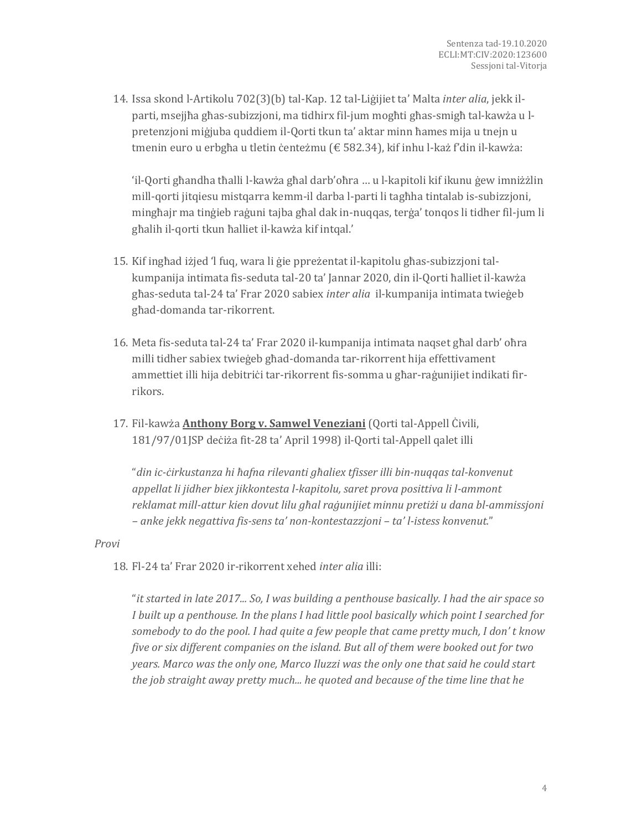14. Issa skond l-Artikolu 702(3)(b) tal-Kap. 12 tal-Liġijiet ta' Malta *inter alia*, jekk ilparti, msejjħa għas-subizzjoni, ma tidhirx fil-jum mogħti għas-smigħ tal-kawża u lpretenzjoni miġjuba quddiem il-Qorti tkun ta' aktar minn ħames mija u tnejn u tmenin euro u erbgħa u tletin ċenteżmu (€ 582.34), kif inhu l-każ f'din il-kawża:

'il-Qorti għandha tħalli l-kawża għal darb'oħra … u l-kapitoli kif ikunu ġew imniżżlin mill-qorti jitqiesu mistqarra kemm-il darba l-parti li tagħha tintalab is-subizzjoni, mingħajr ma tinġieb raġuni tajba għal dak in-nuqqas, terġa' tonqos li tidher fil-jum li għalih il-qorti tkun ħalliet il-kawża kif intqal.'

- 15. Kif ingħad iżjed 'l fuq, wara li ġie ppreżentat il-kapitolu għas-subizzjoni talkumpanija intimata fis-seduta tal-20 ta' Jannar 2020, din il-Qorti ħalliet il-kawża għas-seduta tal-24 ta' Frar 2020 sabiex *inter alia* il-kumpanija intimata twieġeb għad-domanda tar-rikorrent.
- 16. Meta fis-seduta tal-24 ta' Frar 2020 il-kumpanija intimata naqset għal darb' oħra milli tidher sabiex twieġeb għad-domanda tar-rikorrent hija effettivament ammettiet illi hija debitriċi tar-rikorrent fis-somma u għar-raġunijiet indikati firrikors.
- 17. Fil-kawża **Anthony Borg v. Samwel Veneziani** (Qorti tal-Appell Ċivili, 181/97/01JSP deċiża fit-28 ta' April 1998) il-Qorti tal-Appell qalet illi

"*din ic-ċirkustanza hi ħafna rilevanti għaliex tfisser illi bin-nuqqas tal-konvenut appellat li jidher biex jikkontesta l-kapitolu, saret prova posittiva li l-ammont reklamat mill-attur kien dovut lilu għal raġunijiet minnu pretiżi u dana bl-ammissjoni – anke jekk negattiva fis-sens ta' non-kontestazzjoni – ta' l-istess konvenut.*"

### *Provi*

18. Fl-24 ta' Frar 2020 ir-rikorrent xehed *inter alia* illi:

"*it started in late 2017... So, I was building a penthouse basically. I had the air space so I built up a penthouse. In the plans I had little pool basically which point I searched for somebody to do the pool. I had quite a few people that came pretty much, I don' t know five or six different companies on the island. But all of them were booked out for two years. Marco was the only one, Marco Iluzzi was the only one that said he could start the job straight away pretty much... he quoted and because of the time line that he*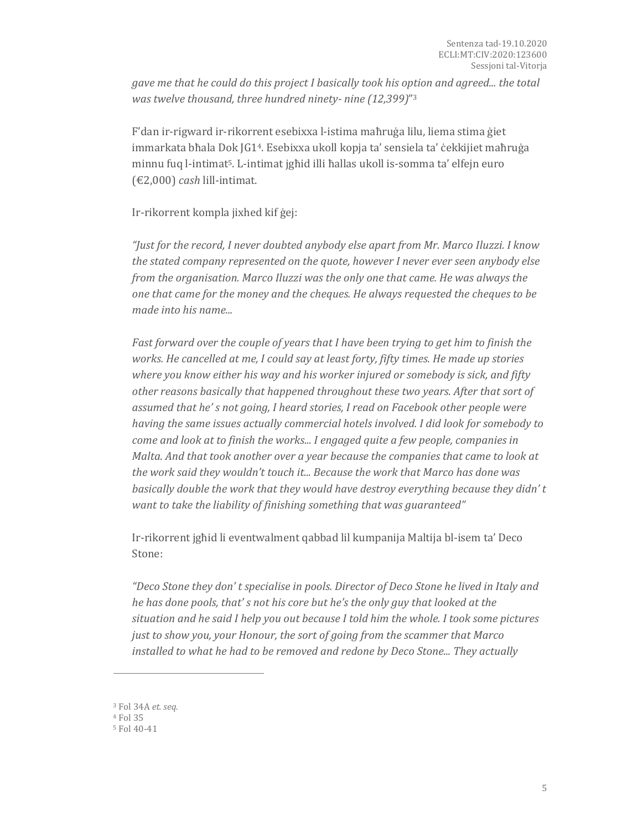*gave me that he could do this project I basically took his option and agreed... the total was twelve thousand, three hundred ninety- nine (12,399)*" 3

F'dan ir-rigward ir-rikorrent esebixxa l-istima maħruġa lilu, liema stima ġiet immarkata bħala Dok JG14. Esebixxa ukoll kopja ta' sensiela ta' ċekkijiet maħruġa minnu fuq l-intimat5. L-intimat jgħid illi ħallas ukoll is-somma ta' elfejn euro (€2,000) *cash* lill-intimat.

Ir-rikorrent kompla jixhed kif ġej:

*"Just for the record, I never doubted anybody else apart from Mr. Marco Iluzzi. I know the stated company represented on the quote, however I never ever seen anybody else from the organisation. Marco Iluzzi was the only one that came. He was always the one that came for the money and the cheques. He always requested the cheques to be made into his name...*

*Fast forward over the couple of years that I have been trying to get him to finish the works. He cancelled at me, I could say at least forty, fifty times. He made up stories where you know either his way and his worker injured or somebody is sick, and fifty other reasons basically that happened throughout these two years. After that sort of assumed that he' s not going, I heard stories, I read on Facebook other people were having the same issues actually commercial hotels involved. I did look for somebody to come and look at to finish the works... I engaged quite a few people, companies in Malta. And that took another over a year because the companies that came to look at the work said they wouldn't touch it... Because the work that Marco has done was basically double the work that they would have destroy everything because they didn' t want to take the liability of finishing something that was guaranteed"*

Ir-rikorrent jgħid li eventwalment qabbad lil kumpanija Maltija bl-isem ta' Deco Stone:

*"Deco Stone they don' t specialise in pools. Director of Deco Stone he lived in Italy and he has done pools, that' s not his core but he's the only guy that looked at the situation and he said I help you out because I told him the whole. I took some pictures just to show you, your Honour, the sort of going from the scammer that Marco installed to what he had to be removed and redone by Deco Stone... They actually* 

<sup>3</sup> Fol 34A *et. seq.*

<sup>4</sup> Fol 35

<sup>5</sup> Fol 40-41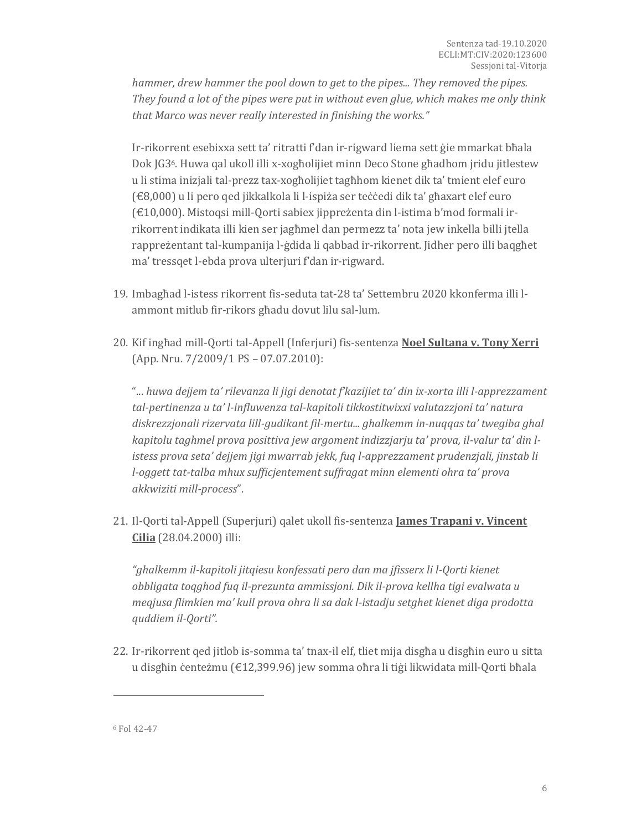*hammer, drew hammer the pool down to get to the pipes... They removed the pipes. They found a lot of the pipes were put in without even glue, which makes me only think that Marco was never really interested in finishing the works."*

Ir-rikorrent esebixxa sett ta' ritratti f'dan ir-rigward liema sett ġie mmarkat bħala Dok JG36. Huwa qal ukoll illi x-xogħolijiet minn Deco Stone għadhom jridu jitlestew u li stima inizjali tal-prezz tax-xogħolijiet tagħhom kienet dik ta' tmient elef euro (€8,000) u li pero qed jikkalkola li l-ispiża ser teċċedi dik ta' għaxart elef euro (€10,000). Mistoqsi mill-Qorti sabiex jippreżenta din l-istima b'mod formali irrikorrent indikata illi kien ser jagħmel dan permezz ta' nota jew inkella billi jtella rappreżentant tal-kumpanija l-ġdida li qabbad ir-rikorrent. Jidher pero illi baqgħet ma' tressqet l-ebda prova ulterjuri f'dan ir-rigward.

- 19. Imbagħad l-istess rikorrent fis-seduta tat-28 ta' Settembru 2020 kkonferma illi lammont mitlub fir-rikors għadu dovut lilu sal-lum.
- 20. Kif ingħad mill-Qorti tal-Appell (Inferjuri) fis-sentenza **Noel Sultana v. Tony Xerri** (App. Nru. 7/2009/1 PS – 07.07.2010):

"... *huwa dejjem ta' rilevanza li jigi denotat f'kazijiet ta' din ix-xorta illi l-apprezzament tal-pertinenza u ta' l-influwenza tal-kapitoli tikkostitwixxi valutazzjoni ta' natura diskrezzjonali rizervata lill-gudikant fil-mertu... ghalkemm in-nuqqas ta' twegiba ghal kapitolu taghmel prova posittiva jew argoment indizzjarju ta' prova, il-valur ta' din listess prova seta' dejjem jigi mwarrab jekk, fuq l-apprezzament prudenzjali, jinstab li l-oggett tat-talba mhux sufficjentement suffragat minn elementi ohra ta' prova akkwiziti mill-process*".

21. Il-Qorti tal-Appell (Superjuri) qalet ukoll fis-sentenza **James Trapani v. Vincent Cilia** (28.04.2000) illi:

*"ghalkemm il-kapitoli jitqiesu konfessati pero dan ma jfisserx li l-Qorti kienet obbligata toqghod fuq il-prezunta ammissjoni. Dik il-prova kellha tigi evalwata u meqjusa flimkien ma' kull prova ohra li sa dak l-istadju setghet kienet diga prodotta quddiem il-Qorti".*

22. Ir-rikorrent qed jitlob is-somma ta' tnax-il elf, tliet mija disgħa u disgħin euro u sitta u disgħin ċenteżmu (€12,399.96) jew somma oħra li tiġi likwidata mill-Qorti bħala

<sup>6</sup> Fol 42-47